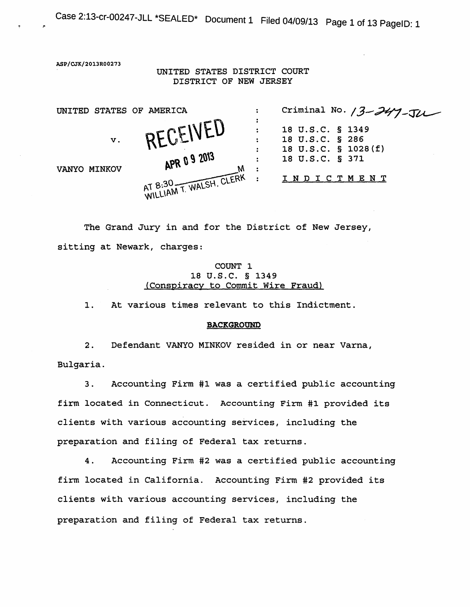Case 2:13-cr-00247-JLL \*SEALED\* Document 1 Filed 04/09/13 Page 1 of 13 PageiD: 1

ASP/CJK/20l3R00273

!"

UNITED STATES DISTRICT COURT DISTRICT OF NEW JERSEY

| UNITED STATES OF AMERICA |    |                         | ÷  | Criminal No. $3 - 247 - 74$                                |
|--------------------------|----|-------------------------|----|------------------------------------------------------------|
|                          | V. | RECEIVED                | ÷  | 18 U.S.C. § 1349<br>18 U.S.C. § 286<br>18 U.S.C. § 1028(f) |
| VANYO MINKOV             |    | APR 09 2013             | .: | 18 U.S.C. § 371<br>I N D I C T M E N T                     |
|                          |    | AT 8:30 T. WALSH, CLERK |    |                                                            |

The Grand Jury in and for the District of New Jersey, sitting at Newark, charges:

# COUNT 1 18 u.s.c. § 1349 (Conspiracy to Commit Wire Fraud)

1. At various times relevant to this Indictment.

#### BACKGROUND

2. Defendant VANYO MINKOV resided in or near Varna, Bulgaria.

3. Accounting Firm #1 was a certified public accounting firm located in Connecticut. Accounting Firm #1 provided its clients with various accounting services, including the preparation and filing of Federal tax returns.

4. Accounting Firm #2 was a certified public accounting firm located in California. Accounting Firm #2 provided its clients with various accounting services, including the preparation and filing of Federal tax returns.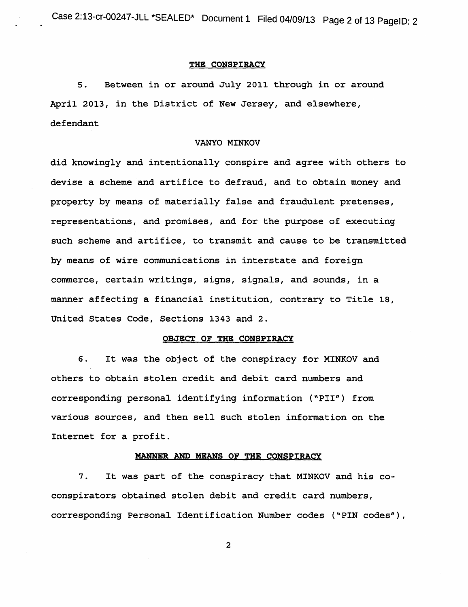# THE CONSPIRACY

5. Between in or around July 2011 through in or around April 2013, in the District of New Jersey, and elsewhere, defendant

## VANYO MINKOV

did knowingly and intentionally conspire and agree with others to devise a scheme and artifice to defraud, and to obtain money and property by means of materially false and fraudulent pretenses, representations, and promises, and for the purpose of executing such scheme and artifice, to transmit and cause to be transmitted by means of wire communications in interstate and foreign commerce, certain writings, signs, signals, and sounds, in a manner affecting a financial institution, contrary to Title 18, United States Code, Sections 1343 and 2.

# OBJECT OF THE CONSPIRACY

6. It was the object of the conspiracy for MINKOV and others to obtain stolen credit and debit card numbers and corresponding personal identifying information ("PII"} from various sources, and then sell such stolen information on the Internet for a profit.

#### MANNER AND MEANS OF THE CONSPIRACY

7. It was part of the conspiracy that MINKOV and his coconspirators obtained stolen debit and credit card numbers, corresponding Personal Identification Number codes ("PIN codes"),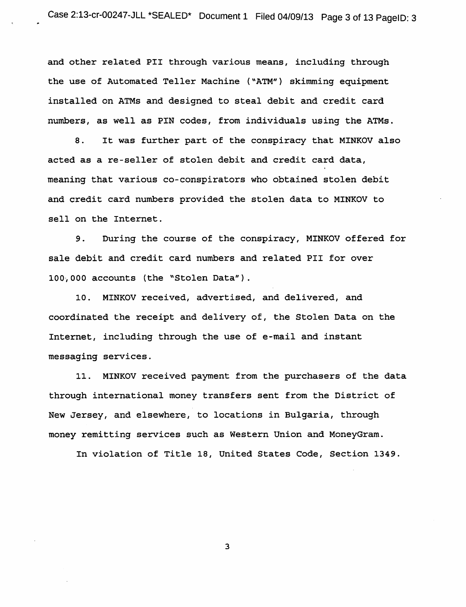and other related PII through various means, including through the use of Automated Teller Machine ("ATM"} skimming equipment installed on ATMs and designed to steal debit and credit card numbers, as well as PIN codes, from individuals using the ATMs.

8. It was further part of the conspiracy that MINKOV also acted as a re-seller of stolen debit and credit card data, meaning that various co-conspirators who obtained stolen debit and credit card numbers provided the stolen data to MINKOV to sell on the Internet.

9. During the course of the conspiracy, MINKOV offered for sale debit and credit card numbers and related PII for over 100·, 000 accounts (the "Stolen Data") .

10. MINKOV received, advertised, and delivered, and coordinated the receipt and delivery of, the Stolen Data on the Internet, including through the use of e-mail and instant messaging services.

11. MINKOV received payment from the purchasers of the data through international money transfers sent from the District of New Jersey, and elsewhere, to locations in Bulgaria, through money remitting services such as Western Union and MoneyGram.

In violation of Title 18, United States Code, Section 1349.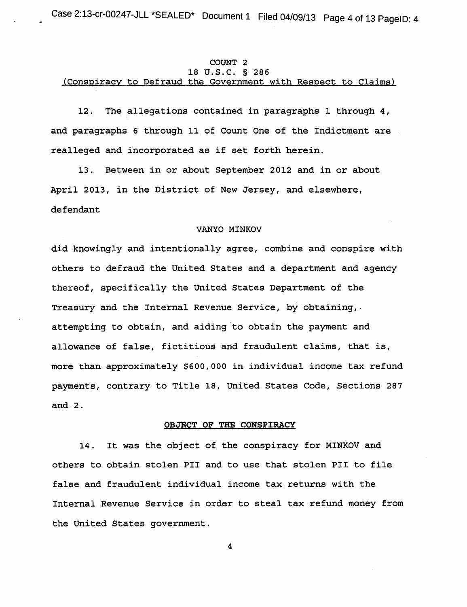# COUNT 2 18 u.s.c. § 286 (Conspiracy to Defraud the Government with Respect to Claims)

12. The allegations contained in paragraphs 1 through 4, and paragraphs 6 through 11 of Count One of the Indictment are realleged and incorporated as if set forth herein.

13. Between in or about September 2012 and in or about April 2013, in the District of New Jersey, and elsewhere, defendant

# VANYO MINKOV

did knowingly and intentionally agree, combine and conspire with others to defraud the United States and a department and agency thereof, specifically the United States Department of the Treasury and the Internal Revenue Service, by obtaining,. attempting to obtain, and aiding to obtain the payment and allowance of false, fictitious and fraudulent claims, that is, more than approximately \$600,000 in individual income tax refund payments, contrary to Title 18, United States Code, Sections 287 and 2.

#### OBJECT OF THE CONSPIRACY

14. It was the object of the conspiracy for MINKOV and others to obtain stolen PII and to use that stolen PII to file false and fraudulent individual income tax returns with the Internal Revenue Service in order to steal tax refund money from the United States government.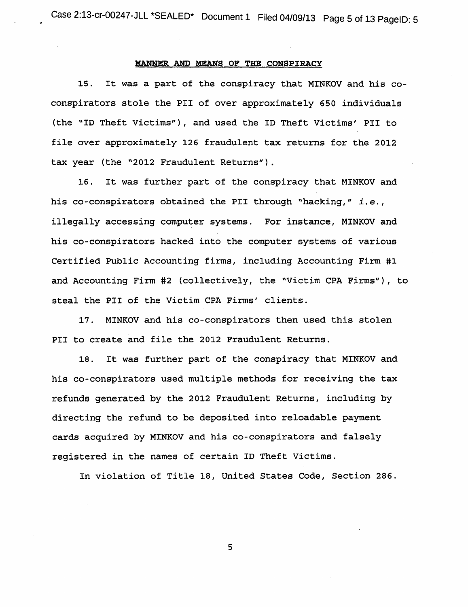# MANNER AND MEANS OF THE CONSPIRACY

15. It was a part of the conspiracy that MINKOV and his coconspirators stole the PII of over approximately 650 individuals (the "ID Theft Victims"), and used the ID Theft Victims' PII to file over approximately 126 fraudulent tax returns for the 2012 tax year (the "2012 Fraudulent Returns").

16. It was further part of the conspiracy that MINKOV and his co-conspirators obtained the PII through "hacking," *i.e.,*  illegally accessing computer systems. For instance, MINKOV and his co-conspirators hacked into the computer systems of various Certified Public Accounting firms, including Accounting Firm #1 and Accounting Firm #2 (collectively, the "Victim CPA Firms"), to steal the PII of the Victim CPA Firms' clients.

17. MINKOV and his co-conspirators then used this stolen PII to create and file the 2012 Fraudulent Returns.

18. It was further part of the conspiracy that MINKOV and his co-conspirators used multiple methods for receiving the tax refunds generated by the 2012 Fraudulent Returns, including by directing the refund to be deposited into reloadable payment cards acquired by MINKOV and his co-conspirators and falsely registered in the names of certain ID Theft Victims.

In violation of Title 18, United States Code, Section 286.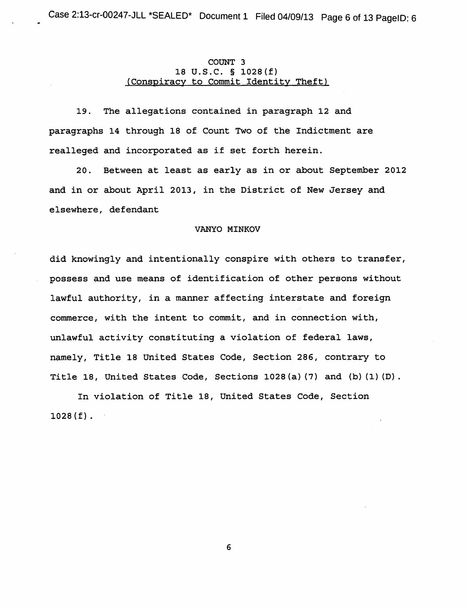# COUNT 3 18 u.s.c. § 1028(f) (Conspiracy to Commit Identity Theft)

19. The allegations contained in paragraph 12 and paragraphs 14 through 18 of Count Two of the Indictment are realleged and incorporated as if set forth herein.

20. Between at least as early as in or about September 2012 and in or about April 2013, in the District of New Jersey and elsewhere, defendant

## VANYO MINKOV

did knowingly and intentionally conspire with others to transfer, possess and use means of identification of other persons without lawful authority, in a manner affecting interstate and foreign commerce, with the intent to commit, and in connection with, unlawful activity constituting a violation of federal laws, namely, Title 18 United States Code, Section 286, contrary to Title 18, United States Code, Sections 1028(a) (7) and (b) (1) (D).

In violation of Title 18, United States Code, Section  $1028 (f).$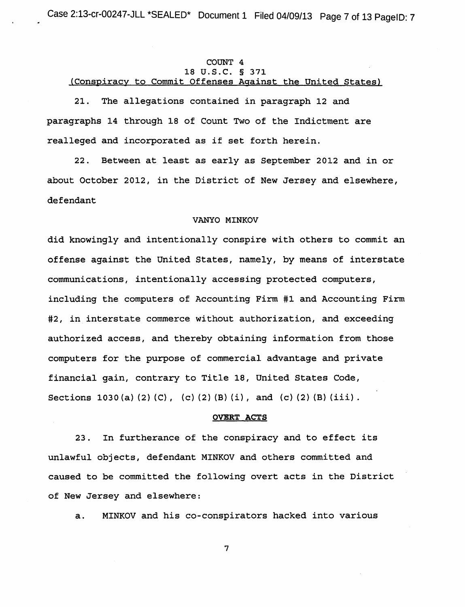# COINT 4 18 u.s.c. § 371 (Conspiracy to Commit Offenses Against the United States)

21. The allegations contained in paragraph 12 and paragraphs 14 through 18 of Count Two of the Indictment are realleged and incorporated as if set forth herein.

22. Between at least as early as September 2012 and in or about October 2012, in the District of New Jersey and elsewhere, defendant

# VANYO MINKOV

did knowingly and intentionally conspire with others to commit an offense against the United States, namely, by means of interstate communications, intentionally accessing protected computers, including the computers of Accounting Firm #1 and Accounting Firm #2, in interstate commerce without authorization, and exceeding authorized access, and thereby obtaining information from those computers for the purpose of commercial advantage and private financial gain, contrary to Title 18, United States Code, Sections 1030 (a) (2) (C), (c) (2) (B) (i), and (c) (2) (B) (iii).

## OVERT ACTS

23. In furtherance of the conspiracy and to effect its unlawful objects, defendant MINKOV and others committed and caused to be committed the following overt acts in the District of New Jersey and elsewhere:

a. MINKOV and his co-conspirators hacked into various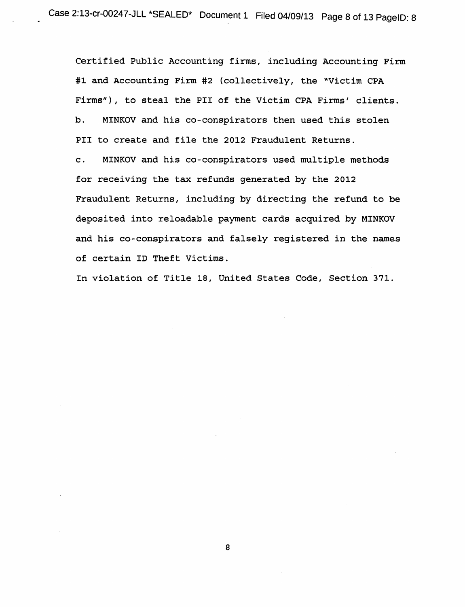Certified Public Accounting firms, including Accounting Firm #1 and Accounting Firm #2 (collectively, the "Victim CPA Firms"), to steal the PII of the Victim CPA Firms' clients. b. MINKOV and his co-conspirators then used this stolen PII to create and file the 2012 Fraudulent Returns.

c. MINKOV and his co-conspirators used multiple methods for receiving the tax refunds generated by the 2012 Fraudulent Returns, including by directing the refund to be deposited into reloadable payment cards acquired by MINKOV and his co-conspirators and falsely registered in the names of certain ID Theft Victims.

In violation of Title 18, United States Code, Section 371.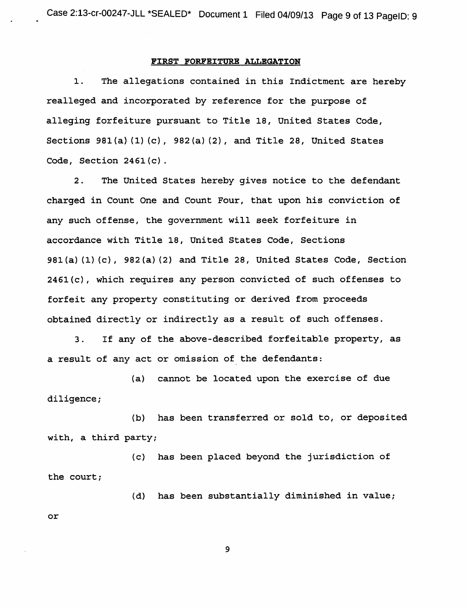#### FiRST FORFEITURE ALLEGATION

1. The allegations contained in this Indictment are hereby realleged and incorporated by reference for the purpose of alleging forfeiture pursuant to Title 18, United States Code, Sections  $981(a) (1) (c)$ ,  $982(a) (2)$ , and Title 28, United States Code, Section 2461(c).

2. The United States hereby gives notice to the defendant charged in Count One and Count Four, that upon his conviction of any such offense, the government will seek forfeiture in accordance with Title 18, United States Code, Sections 981(a) (1} (c), 982(a} (2) and Title 28, United States Code, Section 246l(c), which requires any person convicted of such offenses to forfeit any property constituting or derived from proceeds obtained directly or indirectly as a result of such offenses.

3. If any of the above-described forfeitable property, as a result of any act or omission of the defendants:

(a} cannot be located upon the exercise of due diligence;

(b) has been transferred or sold to, or deposited with, a third party;

(c) has been placed beyond the jurisdiction of the court;

(d) has been substantially diminished in value;

or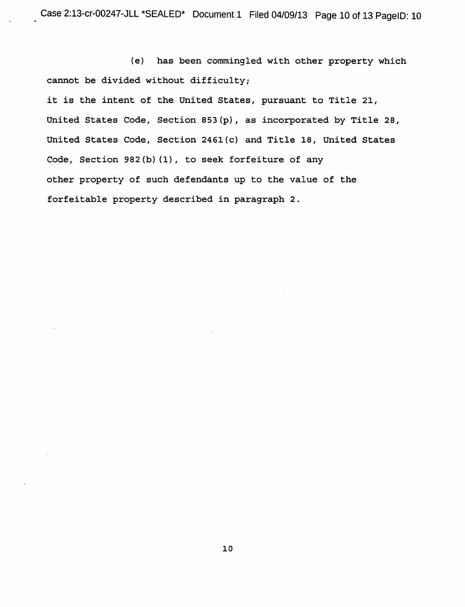(e) has been commingled with other property which cannot be divided without difficulty;

it is the intent of the United States, pursuant to Title 21, United States Code, Section 853(p), as incorporated by Title 28, United States Code, Section 246l(c) and Title 18, United States Code, Section 982(b) (1), to seek forfeiture of any other property of such defendants up to the value of the forfeitable property described in paragraph 2.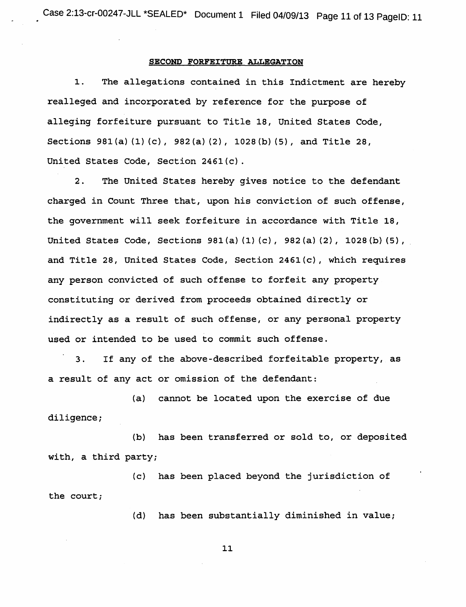#### SECOND FORFEITURE ALLEGATION

1. The allegations contained in this Indictment are hereby realleged and incorporated by reference for the purpose of alleging forfeiture pursuant to Title 18, United States Code, Sections 981 (a) (1) (c), 982 (a) (2), 1028 (b) (5), and Title 28, United States Code, Section 2461(c).

2. The United States hereby gives notice to the defendant charged in Count Three that, upon his conviction of such offense, the government will seek forfeiture in accordance with Title 18, United States Code, Sections 981(a) (1) (c), 982(a) (2), 1028(b) (5), and Title 28, United States Code, Section 2461(c), which requires any person convicted of such offense to forfeit any property constituting or derived from proceeds obtained directly or indirectly as a result of such offense, or any personal property used or intended to be used to commit such offense.

3. If any of the above-described forfeitable property, as a result of any act or omission of the defendant:

(a) cannot be located upon the exercise of due diligence;

(b) has been transferred or sold to, or deposited with, a third party;

(c) has been placed beyond the jurisdiction of the court;

(d) has been substantially diminished in value;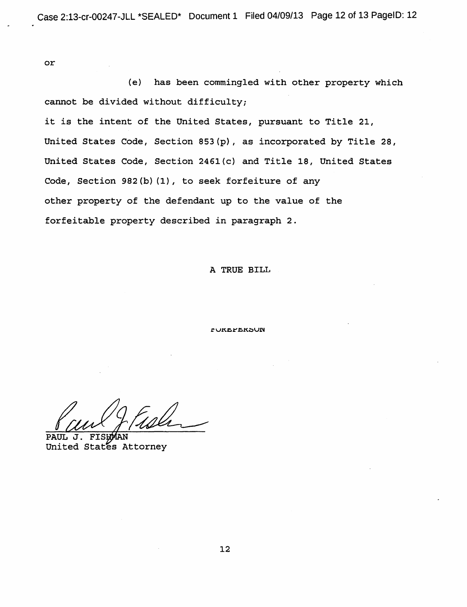or

(e) has been commingled with other property which cannot be divided without difficulty;

it is the intent of the United States, pursuant to Title 21, United States Code, Section 853(p), as incorporated by Title 28, United States Code, Section 2461(c) and Title 18, United States Code, Section 982(b) (1), to seek forfeiture of any other property of the defendant up to the value of the forfeitable property described in paragraph 2.

#### A TRUE BILL

**CURLFLRSUN** 

Valley (1964)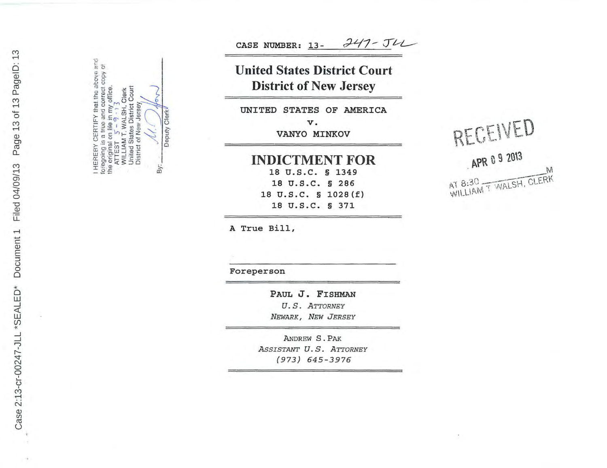I HEREBY CERTIFY that the above and<br>foregoing is a true and correct copy of ATTEST  $5 - 9 \cdot 13$ <br>WILLIAM T. WALSH, Clerk<br>United States District Court<br>District of New Jersey the original on file in my office.<br>ATTEST  $\begin{bmatrix} 5 & -9 \\ 1 & 3 \end{bmatrix}$ By:

Deputy Clerk

 $247 - J42$ CASE NUMBER: 13-

# **United States District Court District of New Jersey**

UNITED STATES OF AMERICA

v. VANYO MINKOV

**INDICTMENT FOR**  18 u.s.c. § 1349 18 u.s.c. § 286 18 u.s.c. § 1028{f} 18 u.s.c. § 371

A True Bill,

Foreperson

PAUL J. FISHMAN U.S. ATTORNEY *NEWARK, NEW JERSEY* 

ANDREW S . PAK *AsSISTANT* U. S. *ATTORNEY (973) 645 - 3976* 

# RECEIVED  $APR$  0 9 2013 APR & M<br>AT 8:30<br>WILLIAM T WALSH, CLERK